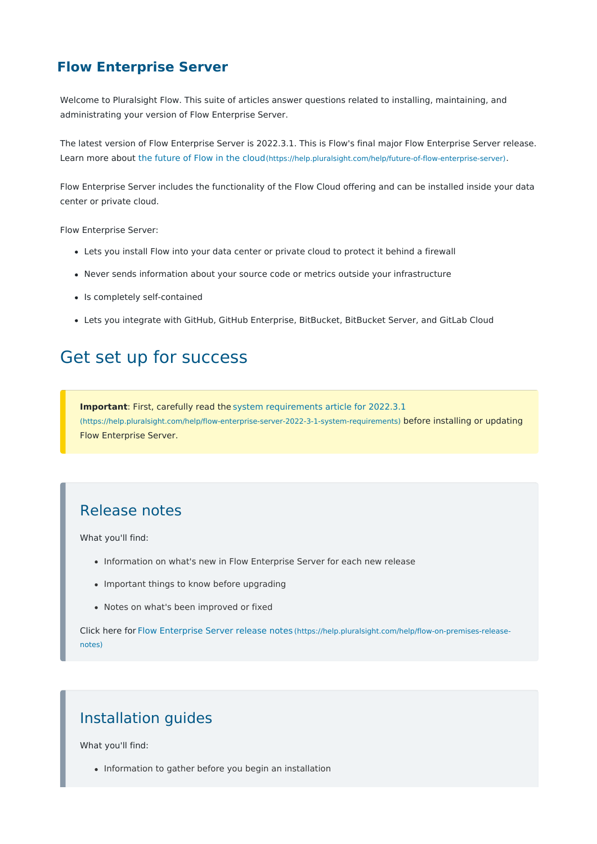#### **Flow Enterprise Server**

Welcome to Pluralsight Flow. This suite of articles answer questions related to installing, maintaining, and administrating your version of Flow Enterprise Server.

The latest version of Flow Enterprise Server is 2022.3.1. This is Flow's final major Flow Enterprise Server release. Learn more about the [future](https://help.pluralsight.com/help/future-of-flow-enterprise-server) of Flow in the cloud[\(https://help.pluralsight.com/help/future-of-flow-enterprise-server\)](https://help.pluralsight.com/help/future-of-flow-enterprise-server).

Flow Enterprise Server includes the functionality of the Flow Cloud offering and can be installed inside your data center or private cloud.

Flow Enterprise Server:

- Lets you install Flow into your data center or private cloud to protect it behind a firewall
- Never sends information about your source code or metrics outside your infrastructure
- Is completely self-contained
- Lets you integrate with GitHub, GitHub Enterprise, BitBucket, BitBucket Server, and GitLab Cloud

# Get set up for success

**Important**: First, carefully read the system [requirements](https://help.pluralsight.com/help/flow-enterprise-server-2022-3-1-system-requirements) article for 2022.3.1 [\(https://help.pluralsight.com/help/flow-enterprise-server-2022-3-1-system-requirements\)](https://help.pluralsight.com/help/flow-enterprise-server-2022-3-1-system-requirements) before installing or updating Flow Enterprise Server.

#### Release notes

What you'll find:

- Information on what's new in Flow Enterprise Server for each new release
- Important things to know before upgrading
- Notes on what's been improved or fixed

Click here for Flow [Enterprise](https://help.pluralsight.com/help/flow-on-premises-release-notes) Server release notes [\(https://help.pluralsight.com/help/flow-on-premises-release](https://help.pluralsight.com/help/flow-on-premises-release-notes)notes)

### Installation guides

What you'll find:

• Information to gather before you begin an installation